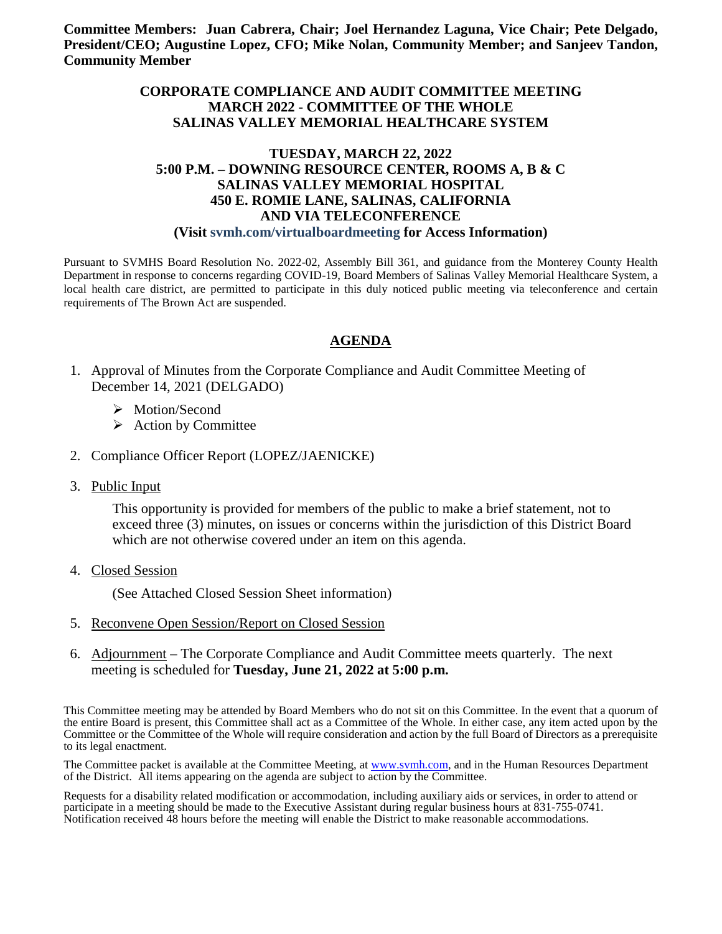**Committee Members: Juan Cabrera, Chair; Joel Hernandez Laguna, Vice Chair; Pete Delgado, President/CEO; Augustine Lopez, CFO; Mike Nolan, Community Member; and Sanjeev Tandon, Community Member**

#### **CORPORATE COMPLIANCE AND AUDIT COMMITTEE MEETING MARCH 2022 - COMMITTEE OF THE WHOLE SALINAS VALLEY MEMORIAL HEALTHCARE SYSTEM**

#### **TUESDAY, MARCH 22, 2022 5:00 P.M. – DOWNING RESOURCE CENTER, ROOMS A, B & C SALINAS VALLEY MEMORIAL HOSPITAL 450 E. ROMIE LANE, SALINAS, CALIFORNIA AND VIA TELECONFERENCE (Visit svmh.com/virtualboardmeeting for Access Information)**

Pursuant to SVMHS Board Resolution No. 2022-02, Assembly Bill 361, and guidance from the Monterey County Health Department in response to concerns regarding COVID-19, Board Members of Salinas Valley Memorial Healthcare System, a local health care district, are permitted to participate in this duly noticed public meeting via teleconference and certain requirements of The Brown Act are suspended.

#### **AGENDA**

- 1. Approval of Minutes from the Corporate Compliance and Audit Committee Meeting of December 14, 2021 (DELGADO)
	- > Motion/Second
	- $\triangleright$  Action by Committee
- 2. Compliance Officer Report (LOPEZ/JAENICKE)
- 3. Public Input

This opportunity is provided for members of the public to make a brief statement, not to exceed three (3) minutes, on issues or concerns within the jurisdiction of this District Board which are not otherwise covered under an item on this agenda.

4. Closed Session

(See Attached Closed Session Sheet information)

- 5. Reconvene Open Session/Report on Closed Session
- 6. Adjournment The Corporate Compliance and Audit Committee meets quarterly. The next meeting is scheduled for **Tuesday, June 21, 2022 at 5:00 p.m.**

This Committee meeting may be attended by Board Members who do not sit on this Committee. In the event that a quorum of the entire Board is present, this Committee shall act as a Committee of the Whole. In either case, any item acted upon by the Committee or the Committee of the Whole will require consideration and action by the full Board of Directors as a prerequisite to its legal enactment.

The Committee packet is available at the Committee Meeting, at [www.svmh.com,](http://www.svmh.com/) and in the Human Resources Department of the District. All items appearing on the agenda are subject to action by the Committee.

Requests for a disability related modification or accommodation, including auxiliary aids or services, in order to attend or participate in a meeting should be made to the Executive Assistant during regular business hours at 831-755-0741. Notification received 48 hours before the meeting will enable the District to make reasonable accommodations.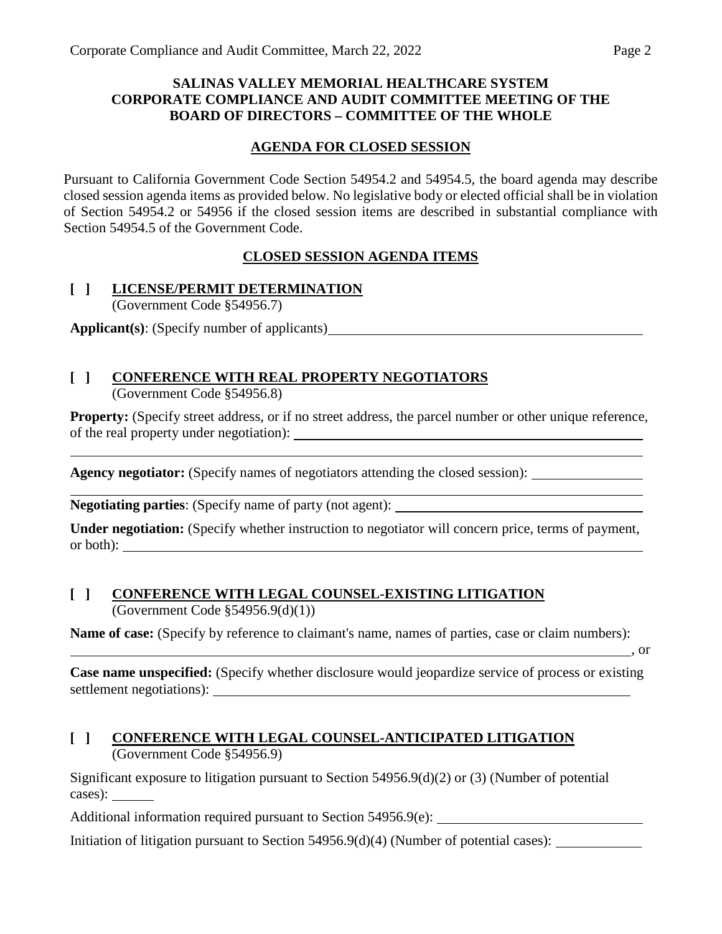#### **SALINAS VALLEY MEMORIAL HEALTHCARE SYSTEM CORPORATE COMPLIANCE AND AUDIT COMMITTEE MEETING OF THE BOARD OF DIRECTORS – COMMITTEE OF THE WHOLE**

#### **AGENDA FOR CLOSED SESSION**

Pursuant to California Government Code Section 54954.2 and 54954.5, the board agenda may describe closed session agenda items as provided below. No legislative body or elected official shall be in violation of Section 54954.2 or 54956 if the closed session items are described in substantial compliance with Section 54954.5 of the Government Code.

## **CLOSED SESSION AGENDA ITEMS**

#### **[ ] LICENSE/PERMIT DETERMINATION** (Government Code §54956.7)

**Applicant(s)**: (Specify number of applicants)

#### **[ ] CONFERENCE WITH REAL PROPERTY NEGOTIATORS** (Government Code §54956.8)

**Property:** (Specify street address, or if no street address, the parcel number or other unique reference, of the real property under negotiation):

Agency negotiator: (Specify names of negotiators attending the closed session):

**Negotiating parties**: (Specify name of party (not agent):

**Under negotiation:** (Specify whether instruction to negotiator will concern price, terms of payment, or both):

## **[ ] CONFERENCE WITH LEGAL COUNSEL-EXISTING LITIGATION** (Government Code §54956.9(d)(1))

**Name of case:** (Specify by reference to claimant's name, names of parties, case or claim numbers):

, or

**Case name unspecified:** (Specify whether disclosure would jeopardize service of process or existing settlement negotiations):

#### **[ ] CONFERENCE WITH LEGAL COUNSEL-ANTICIPATED LITIGATION** (Government Code §54956.9)

Significant exposure to litigation pursuant to Section  $54956.9(d)(2)$  or (3) (Number of potential cases):

Additional information required pursuant to Section 54956.9(e):

Initiation of litigation pursuant to Section 54956.9(d)(4) (Number of potential cases):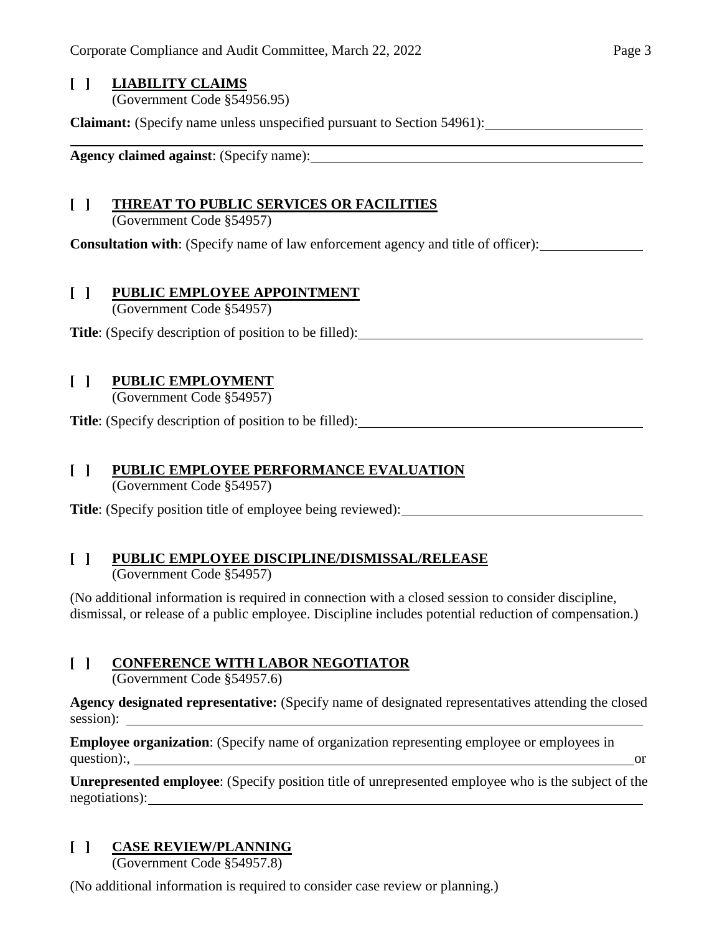# **[ ] LIABILITY CLAIMS**

(Government Code §54956.95)

**Claimant:** (Specify name unless unspecified pursuant to Section 54961):

**Agency claimed against**: (Specify name):

## **[ ] THREAT TO PUBLIC SERVICES OR FACILITIES**

(Government Code §54957)

**Consultation with**: (Specify name of law enforcement agency and title of officer):

## **[ ] PUBLIC EMPLOYEE APPOINTMENT**

(Government Code §54957)

**Title**: (Specify description of position to be filled):

## **[ ] PUBLIC EMPLOYMENT**

(Government Code §54957)

**Title**: (Specify description of position to be filled):

## **[ ] PUBLIC EMPLOYEE PERFORMANCE EVALUATION**

(Government Code §54957)

**Title**: (Specify position title of employee being reviewed):

# **[ ] PUBLIC EMPLOYEE DISCIPLINE/DISMISSAL/RELEASE**

(Government Code §54957)

(No additional information is required in connection with a closed session to consider discipline, dismissal, or release of a public employee. Discipline includes potential reduction of compensation.)

## **[ ] CONFERENCE WITH LABOR NEGOTIATOR**

(Government Code §54957.6)

**Agency designated representative:** (Specify name of designated representatives attending the closed session):

**Employee organization**: (Specify name of organization representing employee or employees in question):, or

**Unrepresented employee**: (Specify position title of unrepresented employee who is the subject of the negotiations):

## **[ ] CASE REVIEW/PLANNING**

(Government Code §54957.8)

(No additional information is required to consider case review or planning.)

<u> 1980 - Johann Stoff, Amerikaansk politiker (</u>